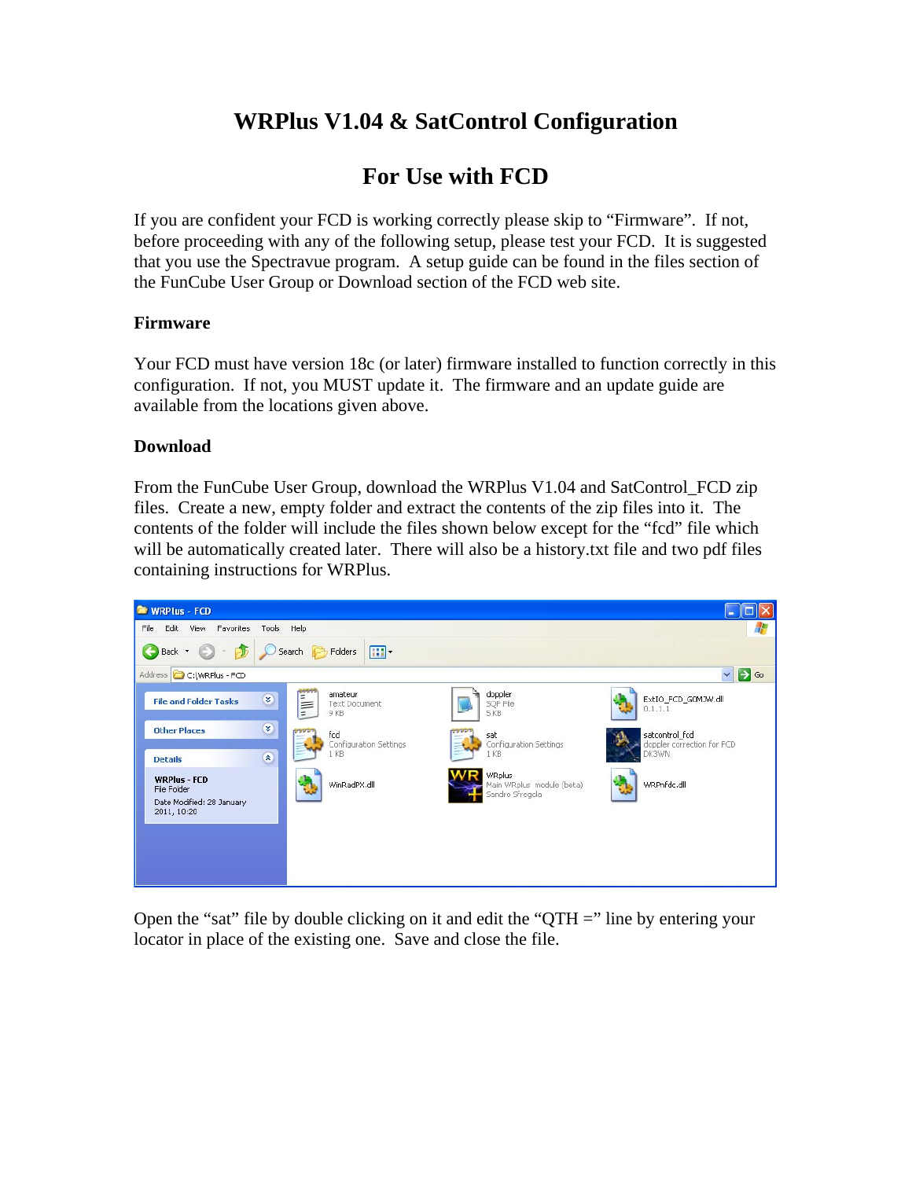# **WRPlus V1.04 & SatControl Configuration**

# **For Use with FCD**

If you are confident your FCD is working correctly please skip to "Firmware". If not, before proceeding with any of the following setup, please test your FCD. It is suggested that you use the Spectravue program. A setup guide can be found in the files section of the FunCube User Group or Download section of the FCD web site.

### **Firmware**

Your FCD must have version 18c (or later) firmware installed to function correctly in this configuration. If not, you MUST update it. The firmware and an update guide are available from the locations given above.

## **Download**

From the FunCube User Group, download the WRPlus V1.04 and SatControl\_FCD zip files. Create a new, empty folder and extract the contents of the zip files into it. The contents of the folder will include the files shown below except for the "fcd" file which will be automatically created later. There will also be a history.txt file and two pdf files containing instructions for WRPlus.



Open the "sat" file by double clicking on it and edit the "QTH  $=$ " line by entering your locator in place of the existing one. Save and close the file.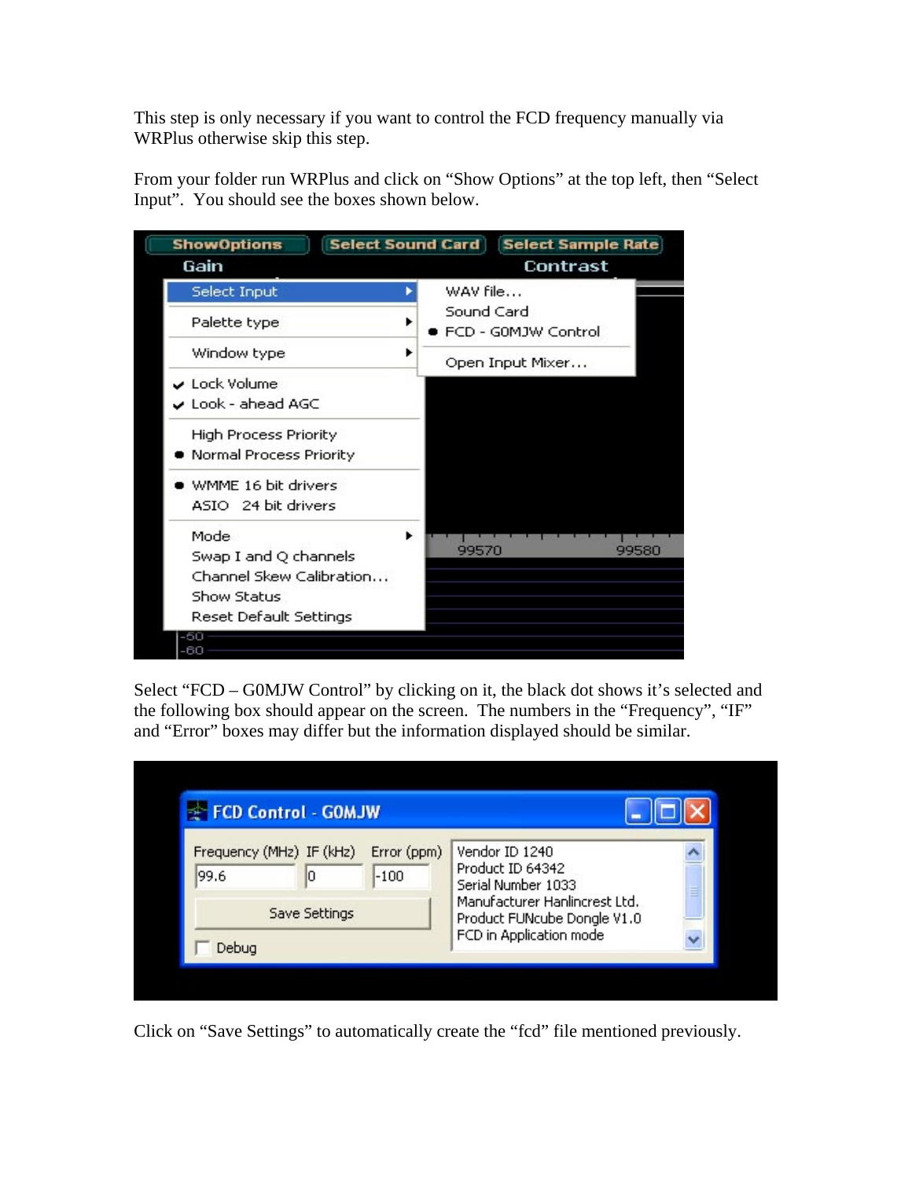This step is only necessary if you want to control the FCD frequency manually via WRPlus otherwise skip this step.

From your folder run WRPlus and click on "Show Options" at the top left, then "Select Input". You should see the boxes shown below.

| <b>ShowOptions</b>                         |            | <b>Select Sound Card   Select Sample Rate</b> |       |
|--------------------------------------------|------------|-----------------------------------------------|-------|
| Gain                                       |            | Contrast                                      |       |
| Select Input                               | WAV file   |                                               |       |
| Palette type                               | Sound Card | ■ FCD - G0MJW Control                         |       |
| Window type                                |            | Open Input Mixer                              |       |
| ✔ Lock Volume                              |            |                                               |       |
| $\boldsymbol{\mathsf{v}}$ Look - ahead AGC |            |                                               |       |
| High Process Priority                      |            |                                               |       |
| Normal Process Priority                    |            |                                               |       |
| WMME 16 bit drivers                        |            |                                               |       |
| ASIO 24 bit drivers                        |            |                                               |       |
| Mode                                       |            |                                               |       |
| Swap I and Q channels                      | 99570      |                                               | 99580 |
| Channel Skew Calibration                   |            |                                               |       |
| Show Status                                |            |                                               |       |
| Reset Default Settings                     |            |                                               |       |
| -50<br>-60                                 |            |                                               |       |

Select "FCD – G0MJW Control" by clicking on it, the black dot shows it's selected and the following box should appear on the screen. The numbers in the "Frequency", "IF" and "Error" boxes may differ but the information displayed should be similar.

| Frequency (MHz) IF (kHz)<br>Error (ppm)<br>Vendor ID 1240<br>Product ID 64342<br>99.6<br>$-100$<br>lО<br>Serial Number 1033<br>≡<br>Manufacturer Hanlincrest Ltd.<br>Save Settings<br>Product FUNcube Dongle V1.0 | FCD Control - GOMJW |                         |  |
|-------------------------------------------------------------------------------------------------------------------------------------------------------------------------------------------------------------------|---------------------|-------------------------|--|
|                                                                                                                                                                                                                   |                     |                         |  |
|                                                                                                                                                                                                                   |                     | FCD in Application mode |  |

Click on "Save Settings" to automatically create the "fcd" file mentioned previously.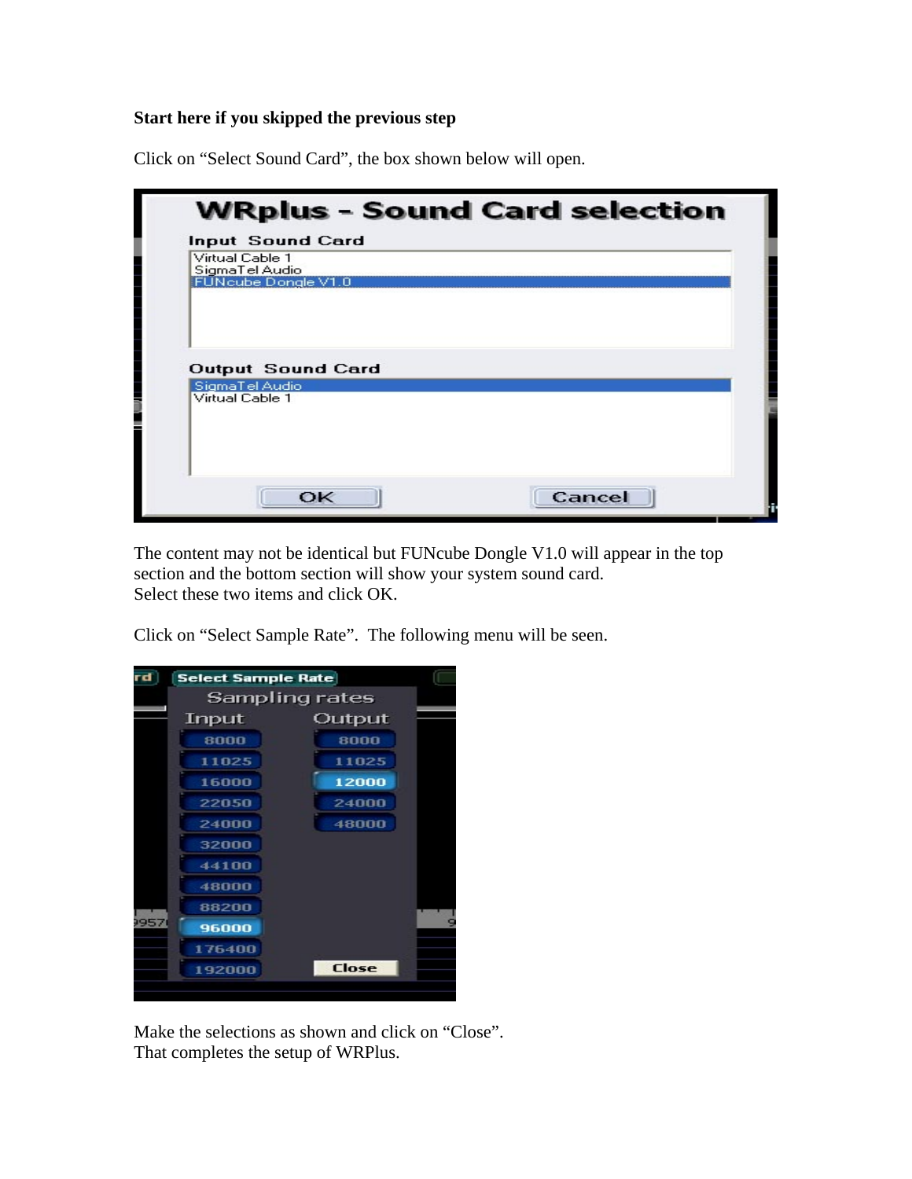# **Start here if you skipped the previous step**

Click on "Select Sound Card", the box shown below will open.

| Virtual Cable 1<br>SigmaTel Audio<br>FUNcube Dongle V1.0      |  |
|---------------------------------------------------------------|--|
|                                                               |  |
|                                                               |  |
|                                                               |  |
|                                                               |  |
| <b>Output Sound Card</b><br>SigmaTel Audio<br>Virtual Cable 1 |  |
|                                                               |  |
|                                                               |  |
|                                                               |  |

The content may not be identical but FUNcube Dongle V1.0 will appear in the top section and the bottom section will show your system sound card. Select these two items and click OK.

Click on "Select Sample Rate". The following menu will be seen.

| d    | <b>Select Sample Rate</b> |                |
|------|---------------------------|----------------|
|      |                           | Sampling rates |
|      | Input                     | Output         |
|      | 8000                      | 8000           |
|      | 11025                     | 11025          |
|      | 16000                     | 12000          |
|      | 22050                     | 24000          |
|      | 24000                     | 48000          |
|      | 32000                     |                |
|      | 44100                     |                |
|      | 48000                     |                |
|      | 88200                     |                |
| 9957 | 96000                     |                |
|      | 176400                    |                |
|      | 192000                    | Close          |
|      |                           |                |

Make the selections as shown and click on "Close". That completes the setup of WRPlus.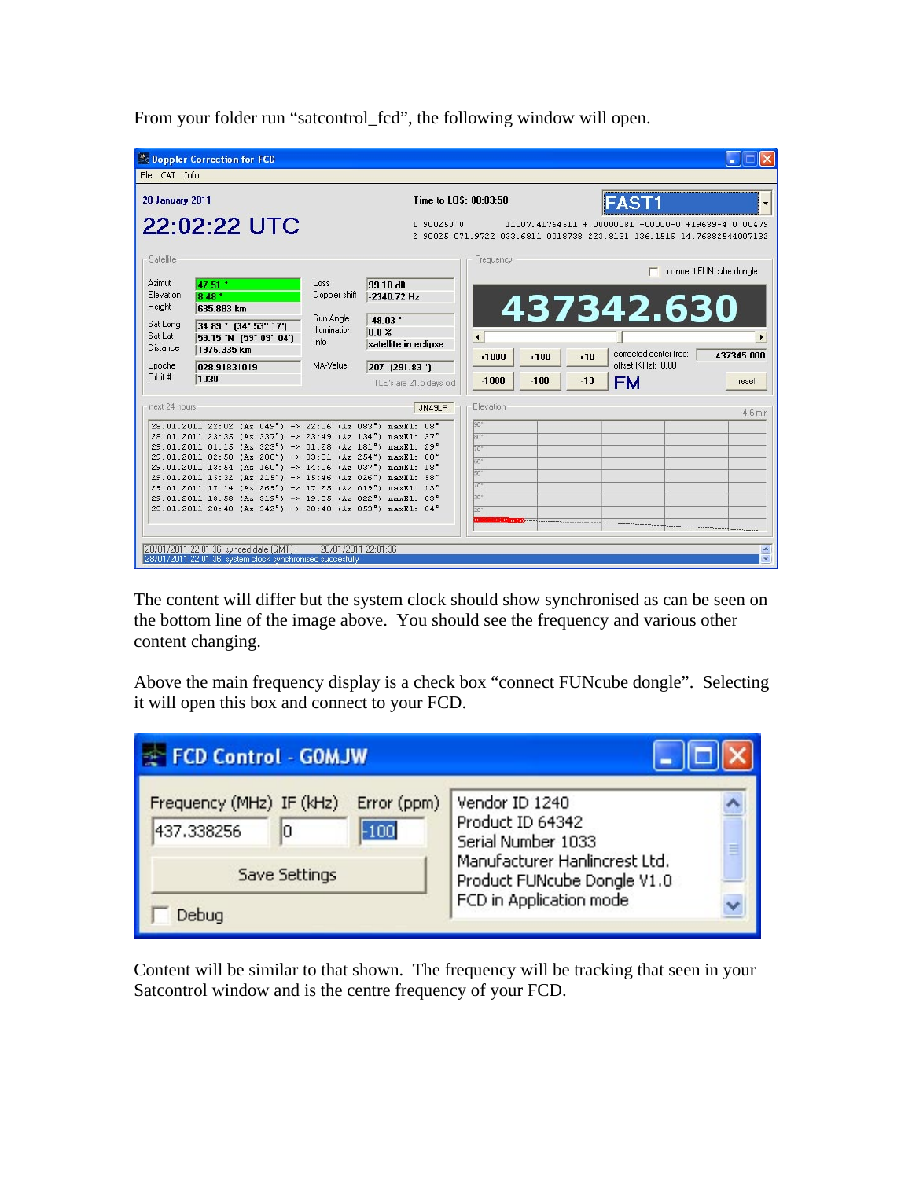| From your folder run "satcontrol_fcd", the following window will open. |  |  |  |  |  |
|------------------------------------------------------------------------|--|--|--|--|--|
|------------------------------------------------------------------------|--|--|--|--|--|

|                               | <sup>2</sup> Doppler Correction for FCD                                                                              |                                           |                                                        |                      |        |                                                                                                                              |                        |                        |
|-------------------------------|----------------------------------------------------------------------------------------------------------------------|-------------------------------------------|--------------------------------------------------------|----------------------|--------|------------------------------------------------------------------------------------------------------------------------------|------------------------|------------------------|
| File CAT Info                 |                                                                                                                      |                                           |                                                        |                      |        |                                                                                                                              |                        |                        |
| <b>28 January 2011</b>        |                                                                                                                      |                                           | Time to LOS: 00:03:50                                  |                      |        | <b>FAST1</b>                                                                                                                 |                        |                        |
|                               | 22:02:22 UTC                                                                                                         |                                           | 1 90025U 0                                             |                      |        | 11007.41764511 +.00000081 +00000-0 +19639-4 0 00479<br>2 90025 071.9722 033.6811 0018738 223.8131 136.1515 14.76382544007132 |                        |                        |
| -Satellite                    |                                                                                                                      |                                           |                                                        | Frequency            |        |                                                                                                                              |                        | connect FUNcube dongle |
| Azimut<br>Elevation<br>Height | 47.51 *<br>8.48 *<br>635.883 km                                                                                      | Loss<br>Doppler shift                     | 99.10 dB<br>$-2340.72$ Hz                              |                      |        | 437342.630                                                                                                                   |                        |                        |
| Sat Long<br>Sat Lat           | 34.89 * (34 * 53" 17")<br>59.15 'N [59' 09" 04']                                                                     | Sun Angle<br><b>Illumination</b><br>Info. | $-48.03$ *<br>0.0 <sup>2</sup><br>satellite in eclipse | $\blacktriangleleft$ |        |                                                                                                                              |                        |                        |
| Distance                      | 1976.335 km                                                                                                          |                                           |                                                        | $+1000$              | $+100$ | $+10$                                                                                                                        | corrected center freg: | 437345.000             |
| Epoche<br>Orbit #             | 028.91831019<br>1030                                                                                                 | MA-Value                                  | 207 (291.83 *)<br>TLE's are 21.5 days old              | $-1000$              | $-100$ | offset (KHz): 0.00<br>$-10$<br><b>FM</b>                                                                                     |                        | reset                  |
| next 24 hours                 |                                                                                                                      |                                           | JN49LR                                                 | Flevation            |        |                                                                                                                              |                        | 4.6 min                |
|                               | 28.01.2011 22:02 (Az 049°) -> 22:06 (Az 083°) maxEl: 08°                                                             |                                           |                                                        | 90°                  |        |                                                                                                                              |                        |                        |
|                               | 28.01.2011 23:35 (Az 337°) -> 23:49 (Az 134°) maxEl: 37°                                                             |                                           |                                                        | an"                  |        |                                                                                                                              |                        |                        |
|                               | 29.01.2011 01:15 (Az 323") -> 01:28 (Az 181") maxEl: 29"                                                             |                                           |                                                        | 70°                  |        |                                                                                                                              |                        |                        |
|                               | 29.01.2011 02:58 (Az 280°) -> 03:01 (Az 254°) maxEl: 00°<br>29.01.2011 13:54 (Az 160°) -> 14:06 (Az 037°) maxEl: 18° |                                           |                                                        | 60°                  |        |                                                                                                                              |                        |                        |
|                               | 29.01.2011 15:32 (Az 215°) -> 15:46 (Az 026°) maxEl: 58°                                                             |                                           |                                                        | 50°                  |        |                                                                                                                              |                        |                        |
|                               | 29.01.2011 17:14 (Az 269°) -> 17:25 (Az 019°) maxEl: 13°                                                             |                                           |                                                        | $40^\circ$           |        |                                                                                                                              |                        |                        |
|                               | 29.01.2011 18:58 (Az 319") -> 19:05 (Az 022") maxEl: 03"                                                             |                                           |                                                        | 30°                  |        |                                                                                                                              |                        |                        |
|                               | 29.01.2011 20:40 (Az 342") -> 20:48 (Az 053") maxEl: 04"                                                             |                                           |                                                        | W.                   |        |                                                                                                                              |                        |                        |
|                               |                                                                                                                      |                                           |                                                        |                      |        |                                                                                                                              |                        |                        |
|                               |                                                                                                                      |                                           |                                                        |                      |        |                                                                                                                              |                        |                        |
|                               | 28/01/2011 22:01:36: synced date (GMT):<br>28/01/2011 22:01:36; system clock synchronised succesfully                | 28/01/2011 22:01:36                       |                                                        |                      |        |                                                                                                                              |                        |                        |

The content will differ but the system clock should show synchronised as can be seen on the bottom line of the image above. You should see the frequency and various other content changing.

Above the main frequency display is a check box "connect FUNcube dongle". Selecting it will open this box and connect to your FCD.

| <b>EXT FCD Control - GOMJW</b>               |                       |                                                              |   |
|----------------------------------------------|-----------------------|--------------------------------------------------------------|---|
| Frequency (MHz) IF (kHz)<br>437.338256<br>10 | Error (ppm)<br>$-100$ | Vendor ID 1240<br>Product ID 64342<br>Serial Number 1033     | ≡ |
| Save Settings                                |                       | Manufacturer Hanlincrest Ltd.<br>Product FUNcube Dongle V1.0 |   |
| Debug                                        |                       | FCD in Application mode                                      |   |

Content will be similar to that shown. The frequency will be tracking that seen in your Satcontrol window and is the centre frequency of your FCD.